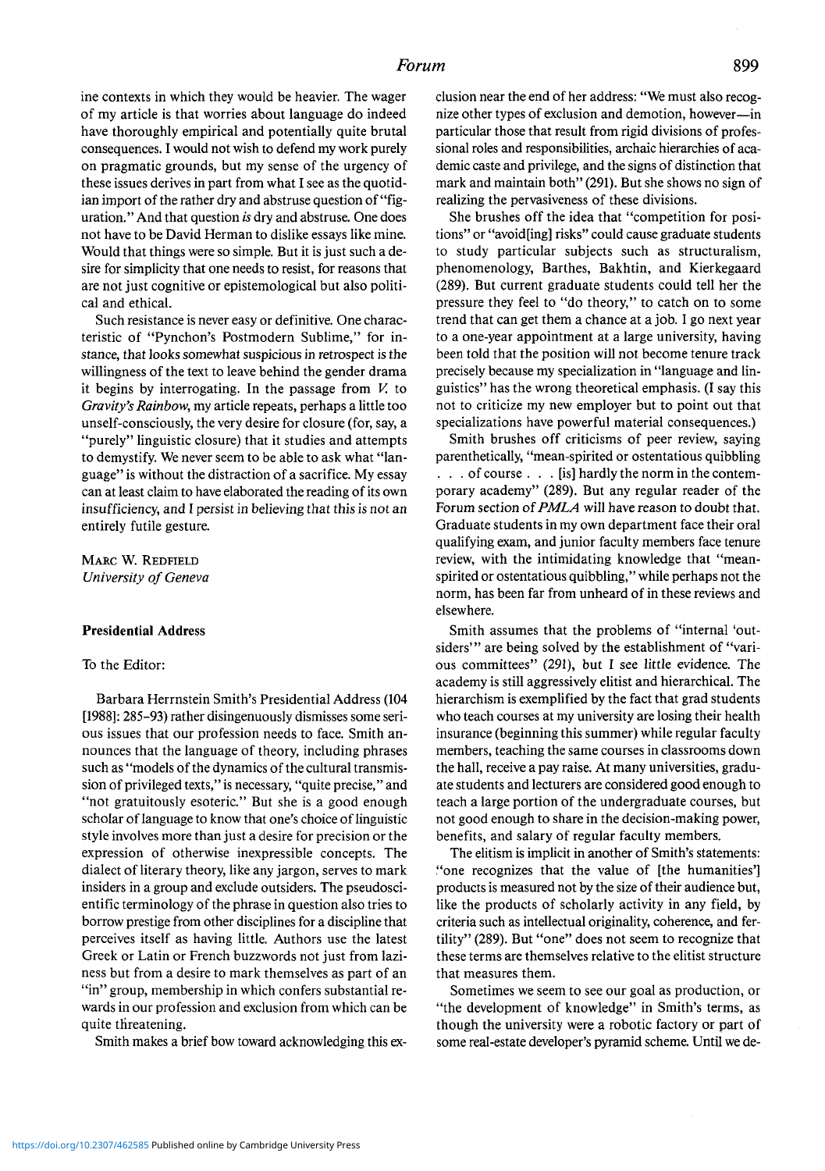ine contexts in which they would be heavier. The wager of my article is that worries about language do indeed have thoroughly empirical and potentially quite brutal consequences. I would not wish to defend my work purely on pragmatic grounds, but my sense of the urgency of these issues derives in part from what I see as the quotidian import of the rather dry and abstruse question of "figuration." And that question *is* dry and abstruse. One does not have to be David Herman to dislike essays like mine. Would that things were so simple. But it is just such a desire for simplicity that one needs to resist, for reasons that are not just cognitive or epistemological but also political and ethical.

Such resistance is never easy or definitive. One characteristic of "Pynchon's Postmodern Sublime," for instance, that looks somewhat suspicious in retrospect is the willingness of the text to leave behind the gender drama it begins by interrogating. In the passage from *V.* to *Gravity'sRainbow,* my article repeats, perhaps a little too unself-consciously, the very desire for closure (for, say, a "purely" linguistic closure) that it studies and attempts to demystify. We never seem to be able to ask what "language" is without the distraction of a sacrifice. My essay can at least claim to have elaborated the reading of its own insufficiency, and I persist in believing that this is not an entirely futile gesture.

Marc W. Redfield *University of Geneva*

## **Presidential Address**

## To the Editor:

Barbara Herrnstein Smith's Presidential Address (104 [1988]: 285-93) rather disingenuously dismisses some serious issues that our profession needs to face. Smith announces that the language of theory, including phrases such as "models of the dynamics of the cultural transmission of privileged texts," is necessary, "quite precise," and "not gratuitously esoteric." But she is a good enough scholar of language to know that one's choice of linguistic style involves more than just a desire for precision or the expression of otherwise inexpressible concepts. The dialect of literary theory, like any jargon, serves to mark insiders in a group and exclude outsiders. The pseudoscientific terminology of the phrase in question also tries to borrow prestige from other disciplines for a discipline that perceives itself as having little. Authors use the latest Greek or Latin or French buzzwords not just from laziness but from a desire to mark themselves as part of an "in" group, membership in which confers substantial rewards in our profession and exclusion from which can be quite threatening.

Smith makes a brief bow toward acknowledging this ex-

clusion near the end of her address: "We must also recognize other types of exclusion and demotion, however—in particular those that result from rigid divisions of professional roles and responsibilities, archaic hierarchies of academic caste and privilege, and the signs of distinction that mark and maintain both" (291). But she shows no sign of realizing the pervasiveness of these divisions.

She brushes off the idea that "competition for positions" or "avoid[ing] risks" could cause graduate students to study particular subjects such as structuralism, phenomenology, Barthes, Bakhtin, and Kierkegaard (289). But current graduate students could tell her the pressure they feel to "do theory," to catch on to some trend that can get them a chance at a job. I go next year to a one-year appointment at a large university, having been told that the position will not become tenure track precisely because my specialization in "language and linguistics" has the wrong theoretical emphasis. (I say this not to criticize my new employer but to point out that specializations have powerful material consequences.)

Smith brushes off criticisms of peer review, saying parenthetically, "mean-spirited or ostentatious quibbling ... of course . . . [is] hardly the norm in the contemporary academy" (289). But any regular reader of the Forum section of*PMLA* will have reason to doubt that. Graduate students in my own department face their oral qualifying exam, and junior faculty members face tenure review, with the intimidating knowledge that "meanspirited or ostentatious quibbling," while perhaps not the norm, has been far from unheard of in these reviews and elsewhere.

Smith assumes that the problems of "internal 'outsiders'" are being solved by the establishment of "various committees" (291), but I see little evidence. The academy is still aggressively elitist and hierarchical. The hierarchism is exemplified by the fact that grad students who teach courses at my university are losing their health insurance (beginning this summer) while regular faculty members, teaching the same courses in classrooms down the hall, receive a pay raise. At many universities, graduate students and lecturers are considered good enough to teach a large portion of the undergraduate courses, but not good enough to share in the decision-making power, benefits, and salary of regular faculty members.

The elitism is implicit in another of Smith's statements: "one recognizes that the value of [the humanities'] products is measured not by the size of their audience but, like the products of scholarly activity in any field, by criteria such as intellectual originality, coherence, and fertility" (289). But "one" does not seem to recognize that these terms are themselves relative to the elitist structure that measures them.

Sometimes we seem to see our goal as production, or "the development of knowledge" in Smith's terms, as though the university were a robotic factory or part of some real-estate developer's pyramid scheme. Until we de